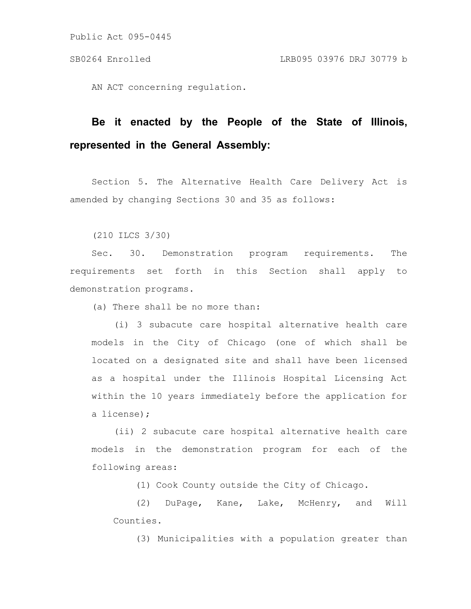AN ACT concerning regulation.

# **Be it enacted by the People of the State of Illinois, represented in the General Assembly:**

Section 5. The Alternative Health Care Delivery Act is amended by changing Sections 30 and 35 as follows:

(210 ILCS 3/30)

Sec. 30. Demonstration program requirements. The requirements set forth in this Section shall apply to demonstration programs.

(a) There shall be no more than:

(i) 3 subacute care hospital alternative health care models in the City of Chicago (one of which shall be located on a designated site and shall have been licensed as a hospital under the Illinois Hospital Licensing Act within the 10 years immediately before the application for a license);

(ii) 2 subacute care hospital alternative health care models in the demonstration program for each of the following areas:

(1) Cook County outside the City of Chicago.

(2) DuPage, Kane, Lake, McHenry, and Will Counties.

(3) Municipalities with a population greater than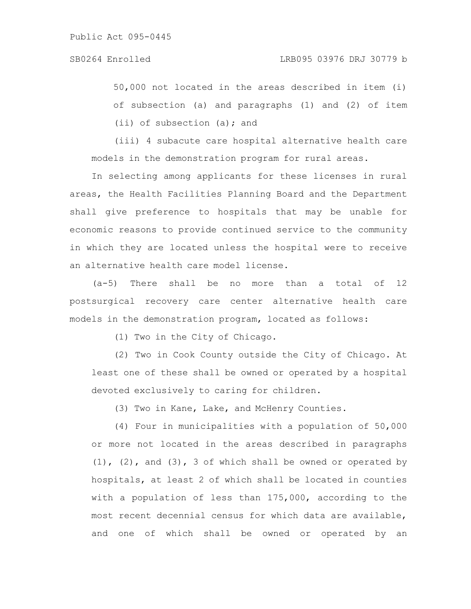50,000 not located in the areas described in item (i) of subsection (a) and paragraphs (1) and (2) of item (ii) of subsection (a); and

(iii) 4 subacute care hospital alternative health care models in the demonstration program for rural areas.

In selecting among applicants for these licenses in rural areas, the Health Facilities Planning Board and the Department shall give preference to hospitals that may be unable for economic reasons to provide continued service to the community in which they are located unless the hospital were to receive an alternative health care model license.

(a-5) There shall be no more than a total of 12 postsurgical recovery care center alternative health care models in the demonstration program, located as follows:

(1) Two in the City of Chicago.

(2) Two in Cook County outside the City of Chicago. At least one of these shall be owned or operated by a hospital devoted exclusively to caring for children.

(3) Two in Kane, Lake, and McHenry Counties.

(4) Four in municipalities with a population of 50,000 or more not located in the areas described in paragraphs  $(1)$ ,  $(2)$ , and  $(3)$ , 3 of which shall be owned or operated by hospitals, at least 2 of which shall be located in counties with a population of less than 175,000, according to the most recent decennial census for which data are available, and one of which shall be owned or operated by an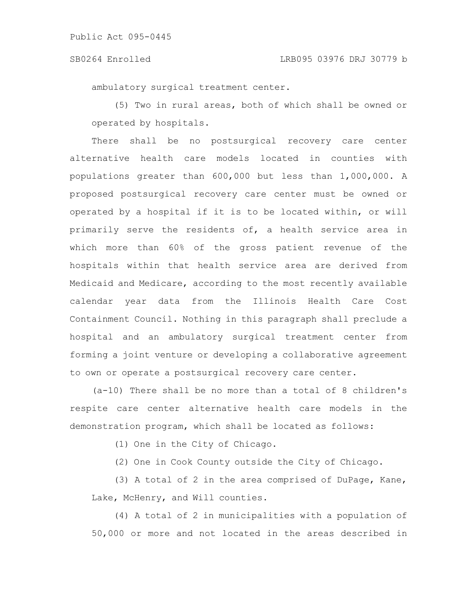### SB0264 Enrolled LRB095 03976 DRJ 30779 b

ambulatory surgical treatment center.

(5) Two in rural areas, both of which shall be owned or operated by hospitals.

There shall be no postsurgical recovery care center alternative health care models located in counties with populations greater than 600,000 but less than 1,000,000. A proposed postsurgical recovery care center must be owned or operated by a hospital if it is to be located within, or will primarily serve the residents of, a health service area in which more than 60% of the gross patient revenue of the hospitals within that health service area are derived from Medicaid and Medicare, according to the most recently available calendar year data from the Illinois Health Care Cost Containment Council. Nothing in this paragraph shall preclude a hospital and an ambulatory surgical treatment center from forming a joint venture or developing a collaborative agreement to own or operate a postsurgical recovery care center.

(a-10) There shall be no more than a total of 8 children's respite care center alternative health care models in the demonstration program, which shall be located as follows:

(1) One in the City of Chicago.

(2) One in Cook County outside the City of Chicago.

(3) A total of 2 in the area comprised of DuPage, Kane, Lake, McHenry, and Will counties.

(4) A total of 2 in municipalities with a population of 50,000 or more and not located in the areas described in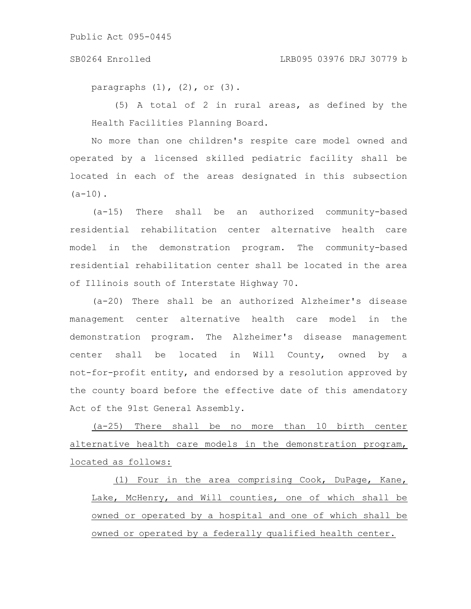### SB0264 Enrolled LRB095 03976 DRJ 30779 b

paragraphs  $(1)$ ,  $(2)$ , or  $(3)$ .

(5) A total of 2 in rural areas, as defined by the Health Facilities Planning Board.

No more than one children's respite care model owned and operated by a licensed skilled pediatric facility shall be located in each of the areas designated in this subsection  $(a-10)$ .

(a-15) There shall be an authorized community-based residential rehabilitation center alternative health care model in the demonstration program. The community-based residential rehabilitation center shall be located in the area of Illinois south of Interstate Highway 70.

(a-20) There shall be an authorized Alzheimer's disease management center alternative health care model in the demonstration program. The Alzheimer's disease management center shall be located in Will County, owned by a not-for-profit entity, and endorsed by a resolution approved by the county board before the effective date of this amendatory Act of the 91st General Assembly.

(a-25) There shall be no more than 10 birth center alternative health care models in the demonstration program, located as follows:

(1) Four in the area comprising Cook, DuPage, Kane, Lake, McHenry, and Will counties, one of which shall be owned or operated by a hospital and one of which shall be owned or operated by a federally qualified health center.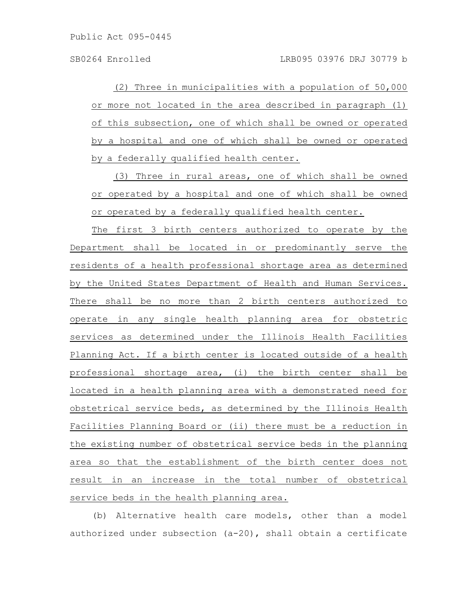(2) Three in municipalities with a population of 50,000 or more not located in the area described in paragraph (1) of this subsection, one of which shall be owned or operated by a hospital and one of which shall be owned or operated by a federally qualified health center.

(3) Three in rural areas, one of which shall be owned or operated by a hospital and one of which shall be owned or operated by a federally qualified health center.

The first 3 birth centers authorized to operate by the Department shall be located in or predominantly serve the residents of a health professional shortage area as determined by the United States Department of Health and Human Services. There shall be no more than 2 birth centers authorized to operate in any single health planning area for obstetric services as determined under the Illinois Health Facilities Planning Act. If a birth center is located outside of a health professional shortage area, (i) the birth center shall be located in a health planning area with a demonstrated need for obstetrical service beds, as determined by the Illinois Health Facilities Planning Board or (ii) there must be a reduction in the existing number of obstetrical service beds in the planning area so that the establishment of the birth center does not result in an increase in the total number of obstetrical service beds in the health planning area.

(b) Alternative health care models, other than a model authorized under subsection  $(a-20)$ , shall obtain a certificate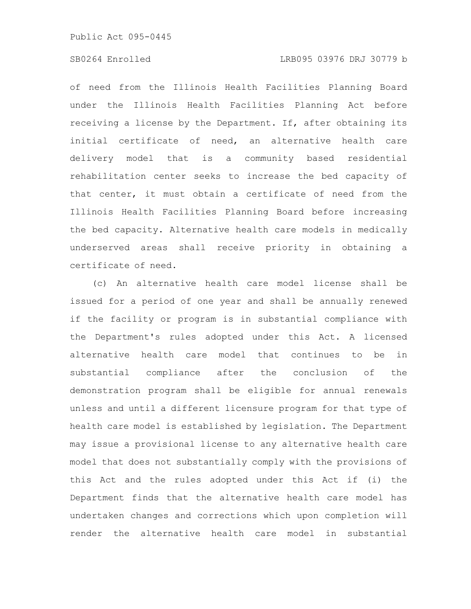of need from the Illinois Health Facilities Planning Board under the Illinois Health Facilities Planning Act before receiving a license by the Department. If, after obtaining its initial certificate of need, an alternative health care delivery model that is a community based residential rehabilitation center seeks to increase the bed capacity of that center, it must obtain a certificate of need from the Illinois Health Facilities Planning Board before increasing the bed capacity. Alternative health care models in medically underserved areas shall receive priority in obtaining a certificate of need.

(c) An alternative health care model license shall be issued for a period of one year and shall be annually renewed if the facility or program is in substantial compliance with the Department's rules adopted under this Act. A licensed alternative health care model that continues to be in substantial compliance after the conclusion of the demonstration program shall be eligible for annual renewals unless and until a different licensure program for that type of health care model is established by legislation. The Department may issue a provisional license to any alternative health care model that does not substantially comply with the provisions of this Act and the rules adopted under this Act if (i) the Department finds that the alternative health care model has undertaken changes and corrections which upon completion will render the alternative health care model in substantial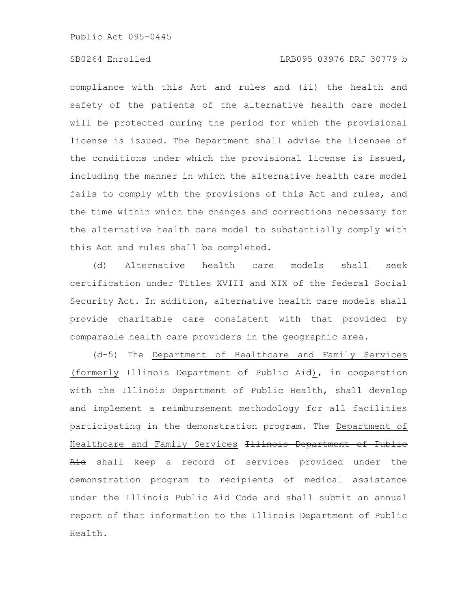# SB0264 Enrolled LRB095 03976 DRJ 30779 b

compliance with this Act and rules and (ii) the health and safety of the patients of the alternative health care model will be protected during the period for which the provisional license is issued. The Department shall advise the licensee of the conditions under which the provisional license is issued, including the manner in which the alternative health care model fails to comply with the provisions of this Act and rules, and the time within which the changes and corrections necessary for the alternative health care model to substantially comply with this Act and rules shall be completed.

(d) Alternative health care models shall seek certification under Titles XVIII and XIX of the federal Social Security Act. In addition, alternative health care models shall provide charitable care consistent with that provided by comparable health care providers in the geographic area.

(d-5) The Department of Healthcare and Family Services (formerly Illinois Department of Public Aid), in cooperation with the Illinois Department of Public Health, shall develop and implement a reimbursement methodology for all facilities participating in the demonstration program. The Department of Healthcare and Family Services Illinois Department of Publie Aid shall keep a record of services provided under the demonstration program to recipients of medical assistance under the Illinois Public Aid Code and shall submit an annual report of that information to the Illinois Department of Public Health.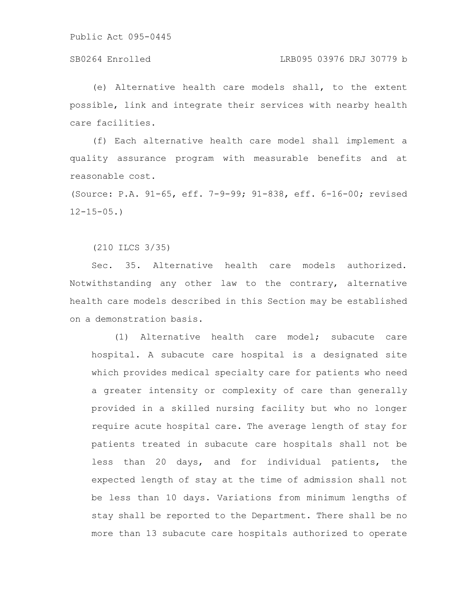# SB0264 Enrolled LRB095 03976 DRJ 30779 b

(e) Alternative health care models shall, to the extent possible, link and integrate their services with nearby health care facilities.

(f) Each alternative health care model shall implement a quality assurance program with measurable benefits and at reasonable cost.

(Source: P.A. 91-65, eff. 7-9-99; 91-838, eff. 6-16-00; revised  $12 - 15 - 05.$ 

(210 ILCS 3/35)

Sec. 35. Alternative health care models authorized. Notwithstanding any other law to the contrary, alternative health care models described in this Section may be established on a demonstration basis.

(1) Alternative health care model; subacute care hospital. A subacute care hospital is a designated site which provides medical specialty care for patients who need a greater intensity or complexity of care than generally provided in a skilled nursing facility but who no longer require acute hospital care. The average length of stay for patients treated in subacute care hospitals shall not be less than 20 days, and for individual patients, the expected length of stay at the time of admission shall not be less than 10 days. Variations from minimum lengths of stay shall be reported to the Department. There shall be no more than 13 subacute care hospitals authorized to operate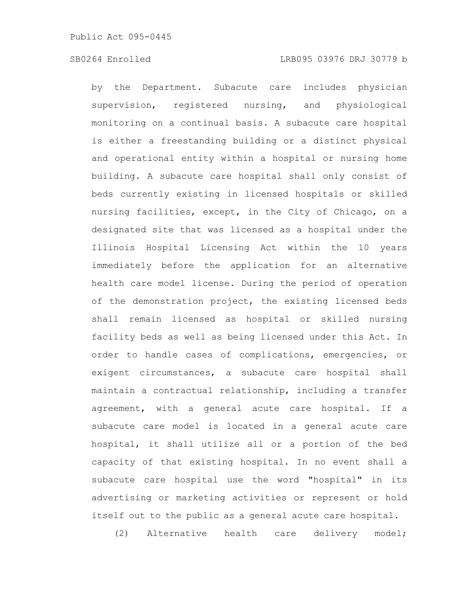by the Department. Subacute care includes physician supervision, registered nursing, and physiological monitoring on a continual basis. A subacute care hospital is either a freestanding building or a distinct physical and operational entity within a hospital or nursing home building. A subacute care hospital shall only consist of beds currently existing in licensed hospitals or skilled nursing facilities, except, in the City of Chicago, on a designated site that was licensed as a hospital under the Illinois Hospital Licensing Act within the 10 years immediately before the application for an alternative health care model license. During the period of operation of the demonstration project, the existing licensed beds shall remain licensed as hospital or skilled nursing facility beds as well as being licensed under this Act. In order to handle cases of complications, emergencies, or exigent circumstances, a subacute care hospital shall maintain a contractual relationship, including a transfer agreement, with a general acute care hospital. If a subacute care model is located in a general acute care hospital, it shall utilize all or a portion of the bed capacity of that existing hospital. In no event shall a subacute care hospital use the word "hospital" in its advertising or marketing activities or represent or hold itself out to the public as a general acute care hospital.

(2) Alternative health care delivery model;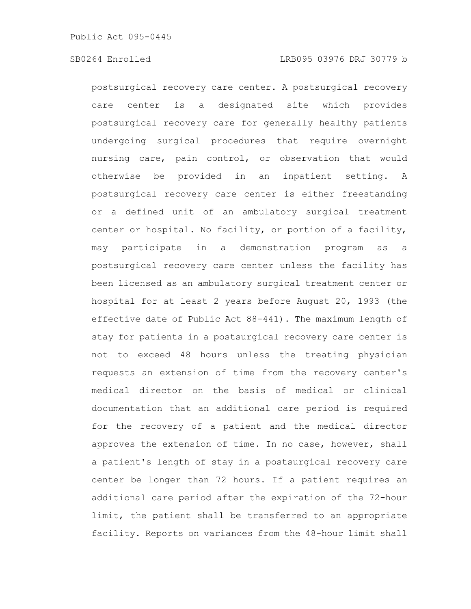postsurgical recovery care center. A postsurgical recovery care center is a designated site which provides postsurgical recovery care for generally healthy patients undergoing surgical procedures that require overnight nursing care, pain control, or observation that would otherwise be provided in an inpatient setting. A postsurgical recovery care center is either freestanding or a defined unit of an ambulatory surgical treatment center or hospital. No facility, or portion of a facility, may participate in a demonstration program as a postsurgical recovery care center unless the facility has been licensed as an ambulatory surgical treatment center or hospital for at least 2 years before August 20, 1993 (the effective date of Public Act 88-441). The maximum length of stay for patients in a postsurgical recovery care center is not to exceed 48 hours unless the treating physician requests an extension of time from the recovery center's medical director on the basis of medical or clinical documentation that an additional care period is required for the recovery of a patient and the medical director approves the extension of time. In no case, however, shall a patient's length of stay in a postsurgical recovery care center be longer than 72 hours. If a patient requires an additional care period after the expiration of the 72-hour limit, the patient shall be transferred to an appropriate facility. Reports on variances from the 48-hour limit shall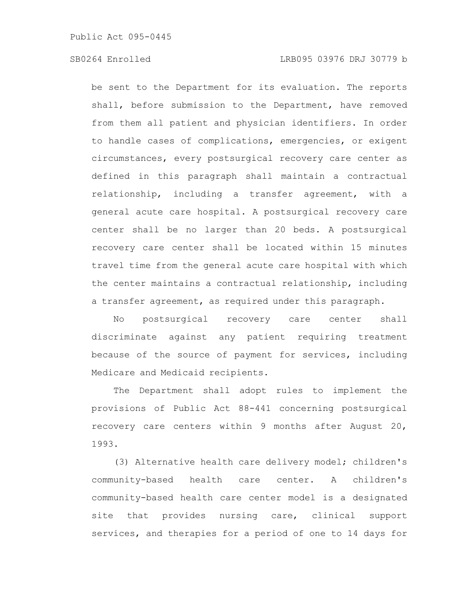be sent to the Department for its evaluation. The reports shall, before submission to the Department, have removed from them all patient and physician identifiers. In order to handle cases of complications, emergencies, or exigent circumstances, every postsurgical recovery care center as defined in this paragraph shall maintain a contractual relationship, including a transfer agreement, with a general acute care hospital. A postsurgical recovery care center shall be no larger than 20 beds. A postsurgical recovery care center shall be located within 15 minutes travel time from the general acute care hospital with which the center maintains a contractual relationship, including a transfer agreement, as required under this paragraph.

No postsurgical recovery care center shall discriminate against any patient requiring treatment because of the source of payment for services, including Medicare and Medicaid recipients.

The Department shall adopt rules to implement the provisions of Public Act 88-441 concerning postsurgical recovery care centers within 9 months after August 20, 1993.

(3) Alternative health care delivery model; children's community-based health care center. A children's community-based health care center model is a designated site that provides nursing care, clinical support services, and therapies for a period of one to 14 days for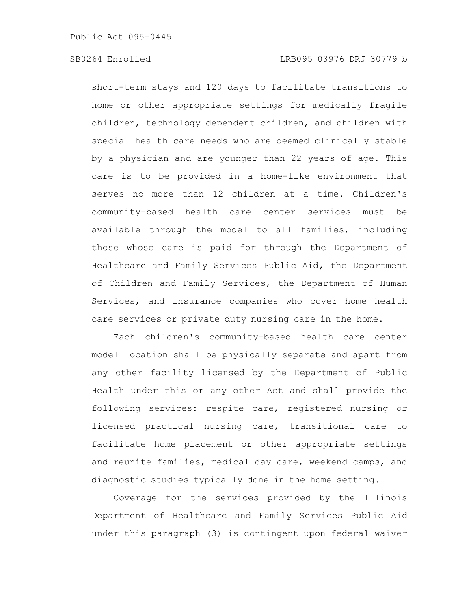short-term stays and 120 days to facilitate transitions to home or other appropriate settings for medically fragile children, technology dependent children, and children with special health care needs who are deemed clinically stable by a physician and are younger than 22 years of age. This care is to be provided in a home-like environment that serves no more than 12 children at a time. Children's community-based health care center services must be available through the model to all families, including those whose care is paid for through the Department of Healthcare and Family Services Public Aid, the Department of Children and Family Services, the Department of Human Services, and insurance companies who cover home health care services or private duty nursing care in the home.

Each children's community-based health care center model location shall be physically separate and apart from any other facility licensed by the Department of Public Health under this or any other Act and shall provide the following services: respite care, registered nursing or licensed practical nursing care, transitional care to facilitate home placement or other appropriate settings and reunite families, medical day care, weekend camps, and diagnostic studies typically done in the home setting.

Coverage for the services provided by the +11inois Department of Healthcare and Family Services Public Aid under this paragraph (3) is contingent upon federal waiver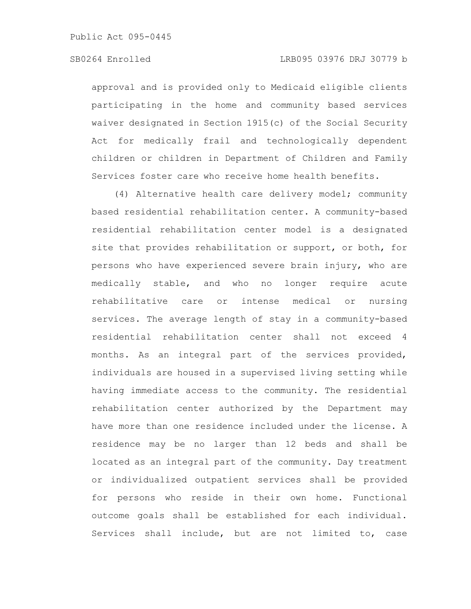approval and is provided only to Medicaid eligible clients participating in the home and community based services waiver designated in Section 1915(c) of the Social Security Act for medically frail and technologically dependent children or children in Department of Children and Family Services foster care who receive home health benefits.

(4) Alternative health care delivery model; community based residential rehabilitation center. A community-based residential rehabilitation center model is a designated site that provides rehabilitation or support, or both, for persons who have experienced severe brain injury, who are medically stable, and who no longer require acute rehabilitative care or intense medical or nursing services. The average length of stay in a community-based residential rehabilitation center shall not exceed 4 months. As an integral part of the services provided, individuals are housed in a supervised living setting while having immediate access to the community. The residential rehabilitation center authorized by the Department may have more than one residence included under the license. A residence may be no larger than 12 beds and shall be located as an integral part of the community. Day treatment or individualized outpatient services shall be provided for persons who reside in their own home. Functional outcome goals shall be established for each individual. Services shall include, but are not limited to, case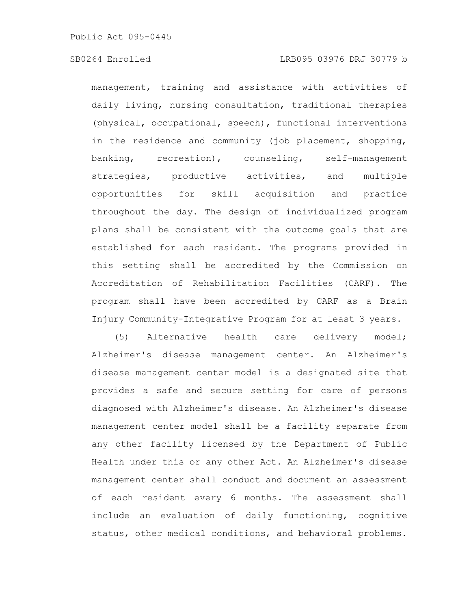# SB0264 Enrolled LRB095 03976 DRJ 30779 b

management, training and assistance with activities of daily living, nursing consultation, traditional therapies (physical, occupational, speech), functional interventions in the residence and community (job placement, shopping, banking, recreation), counseling, self-management strategies, productive activities, and multiple opportunities for skill acquisition and practice throughout the day. The design of individualized program plans shall be consistent with the outcome goals that are established for each resident. The programs provided in this setting shall be accredited by the Commission on Accreditation of Rehabilitation Facilities (CARF). The program shall have been accredited by CARF as a Brain Injury Community-Integrative Program for at least 3 years.

(5) Alternative health care delivery model; Alzheimer's disease management center. An Alzheimer's disease management center model is a designated site that provides a safe and secure setting for care of persons diagnosed with Alzheimer's disease. An Alzheimer's disease management center model shall be a facility separate from any other facility licensed by the Department of Public Health under this or any other Act. An Alzheimer's disease management center shall conduct and document an assessment of each resident every 6 months. The assessment shall include an evaluation of daily functioning, cognitive status, other medical conditions, and behavioral problems.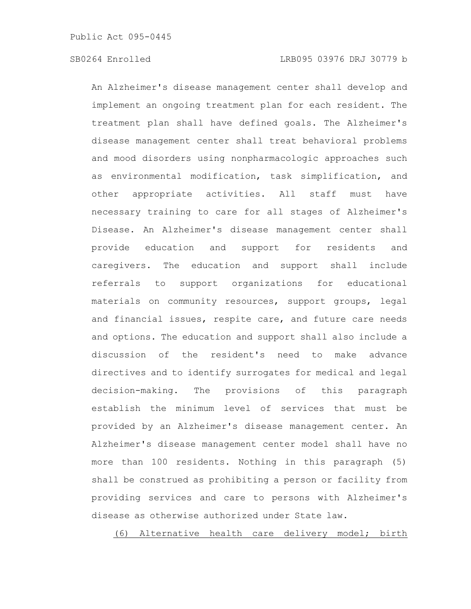An Alzheimer's disease management center shall develop and implement an ongoing treatment plan for each resident. The treatment plan shall have defined goals. The Alzheimer's disease management center shall treat behavioral problems and mood disorders using nonpharmacologic approaches such as environmental modification, task simplification, and other appropriate activities. All staff must have necessary training to care for all stages of Alzheimer's Disease. An Alzheimer's disease management center shall provide education and support for residents and caregivers. The education and support shall include referrals to support organizations for educational materials on community resources, support groups, legal and financial issues, respite care, and future care needs and options. The education and support shall also include a discussion of the resident's need to make advance directives and to identify surrogates for medical and legal decision-making. The provisions of this paragraph establish the minimum level of services that must be provided by an Alzheimer's disease management center. An Alzheimer's disease management center model shall have no more than 100 residents. Nothing in this paragraph (5) shall be construed as prohibiting a person or facility from providing services and care to persons with Alzheimer's disease as otherwise authorized under State law.

(6) Alternative health care delivery model; birth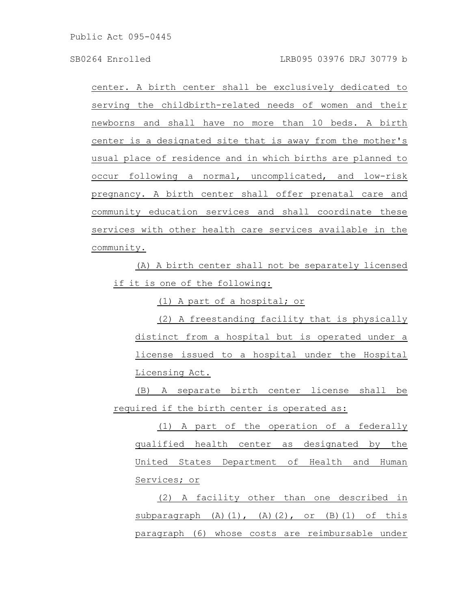center. A birth center shall be exclusively dedicated to serving the childbirth-related needs of women and their newborns and shall have no more than 10 beds. A birth center is a designated site that is away from the mother's usual place of residence and in which births are planned to occur following a normal, uncomplicated, and low-risk pregnancy. A birth center shall offer prenatal care and community education services and shall coordinate these services with other health care services available in the community.

(A) A birth center shall not be separately licensed if it is one of the following:

(1) A part of a hospital; or

(2) A freestanding facility that is physically distinct from a hospital but is operated under a license issued to a hospital under the Hospital Licensing Act.

(B) A separate birth center license shall be required if the birth center is operated as:

(1) A part of the operation of a federally qualified health center as designated by the United States Department of Health and Human Services; or

(2) A facility other than one described in  $subparagnh (A)(1)$ ,  $(A)(2)$ , or  $(B)(1)$  of this paragraph (6) whose costs are reimbursable under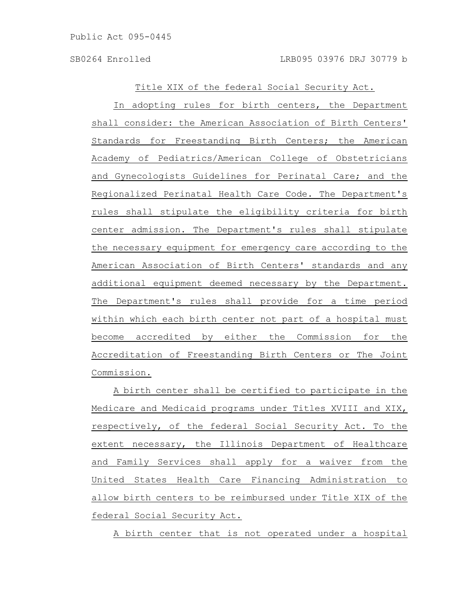Title XIX of the federal Social Security Act.

In adopting rules for birth centers, the Department shall consider: the American Association of Birth Centers' Standards for Freestanding Birth Centers; the American Academy of Pediatrics/American College of Obstetricians and Gynecologists Guidelines for Perinatal Care; and the Regionalized Perinatal Health Care Code. The Department's rules shall stipulate the eligibility criteria for birth center admission. The Department's rules shall stipulate the necessary equipment for emergency care according to the American Association of Birth Centers' standards and any additional equipment deemed necessary by the Department. The Department's rules shall provide for a time period within which each birth center not part of a hospital must become accredited by either the Commission for the Accreditation of Freestanding Birth Centers or The Joint Commission.

A birth center shall be certified to participate in the Medicare and Medicaid programs under Titles XVIII and XIX, respectively, of the federal Social Security Act. To the extent necessary, the Illinois Department of Healthcare and Family Services shall apply for a waiver from the United States Health Care Financing Administration to allow birth centers to be reimbursed under Title XIX of the federal Social Security Act.

A birth center that is not operated under a hospital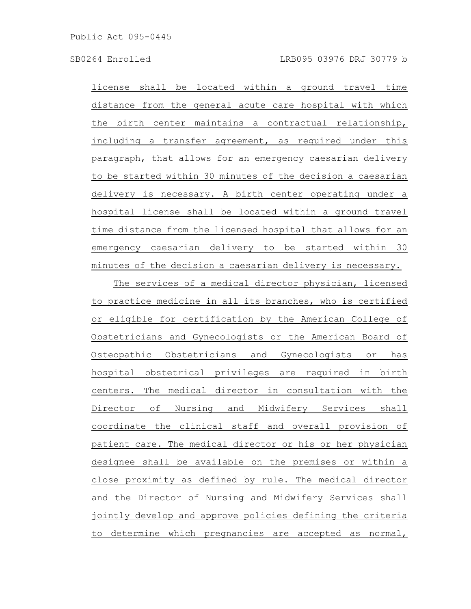license shall be located within a ground travel time distance from the general acute care hospital with which the birth center maintains a contractual relationship, including a transfer agreement, as required under this paragraph, that allows for an emergency caesarian delivery to be started within 30 minutes of the decision a caesarian delivery is necessary. A birth center operating under a hospital license shall be located within a ground travel time distance from the licensed hospital that allows for an emergency caesarian delivery to be started within 30 minutes of the decision a caesarian delivery is necessary.

The services of a medical director physician, licensed to practice medicine in all its branches, who is certified or eligible for certification by the American College of Obstetricians and Gynecologists or the American Board of Osteopathic Obstetricians and Gynecologists or has hospital obstetrical privileges are required in birth centers. The medical director in consultation with the Director of Nursing and Midwifery Services shall coordinate the clinical staff and overall provision of patient care. The medical director or his or her physician designee shall be available on the premises or within a close proximity as defined by rule. The medical director and the Director of Nursing and Midwifery Services shall jointly develop and approve policies defining the criteria to determine which pregnancies are accepted as normal,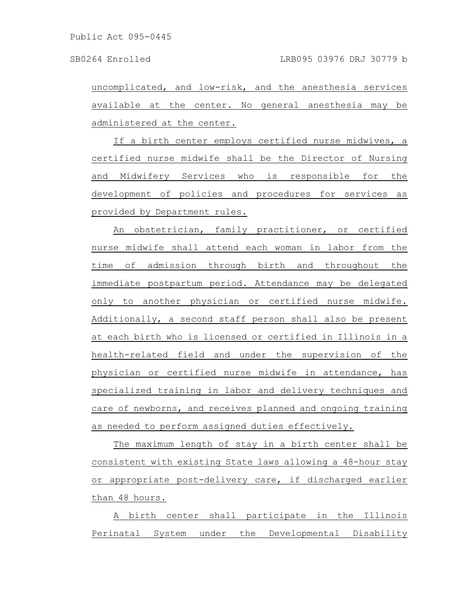uncomplicated, and low-risk, and the anesthesia services available at the center. No general anesthesia may be administered at the center.

If a birth center employs certified nurse midwives, a certified nurse midwife shall be the Director of Nursing and Midwifery Services who is responsible for the development of policies and procedures for services as provided by Department rules.

An obstetrician, family practitioner, or certified nurse midwife shall attend each woman in labor from the time of admission through birth and throughout the immediate postpartum period. Attendance may be delegated only to another physician or certified nurse midwife. Additionally, a second staff person shall also be present at each birth who is licensed or certified in Illinois in a health-related field and under the supervision of the physician or certified nurse midwife in attendance, has specialized training in labor and delivery techniques and care of newborns, and receives planned and ongoing training as needed to perform assigned duties effectively.

The maximum length of stay in a birth center shall be consistent with existing State laws allowing a 48-hour stay or appropriate post-delivery care, if discharged earlier than 48 hours.

A birth center shall participate in the Illinois Perinatal System under the Developmental Disability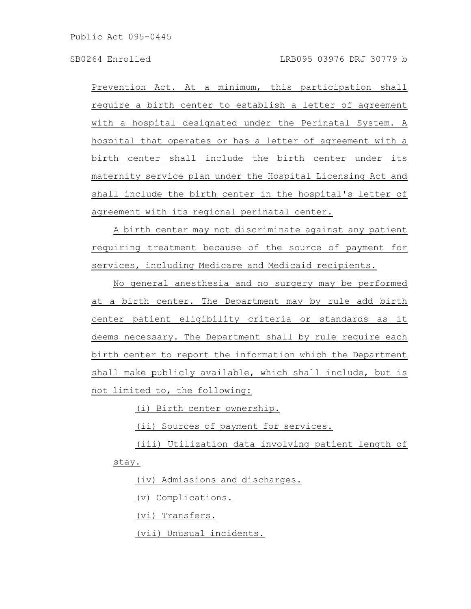Prevention Act. At a minimum, this participation shall require a birth center to establish a letter of agreement with a hospital designated under the Perinatal System. A hospital that operates or has a letter of agreement with a birth center shall include the birth center under its maternity service plan under the Hospital Licensing Act and shall include the birth center in the hospital's letter of agreement with its regional perinatal center.

A birth center may not discriminate against any patient requiring treatment because of the source of payment for services, including Medicare and Medicaid recipients.

No general anesthesia and no surgery may be performed at a birth center. The Department may by rule add birth center patient eligibility criteria or standards as it deems necessary. The Department shall by rule require each birth center to report the information which the Department shall make publicly available, which shall include, but is not limited to, the following:

(i) Birth center ownership.

(ii) Sources of payment for services.

(iii) Utilization data involving patient length of stay.

(iv) Admissions and discharges.

(v) Complications.

(vi) Transfers.

(vii) Unusual incidents.